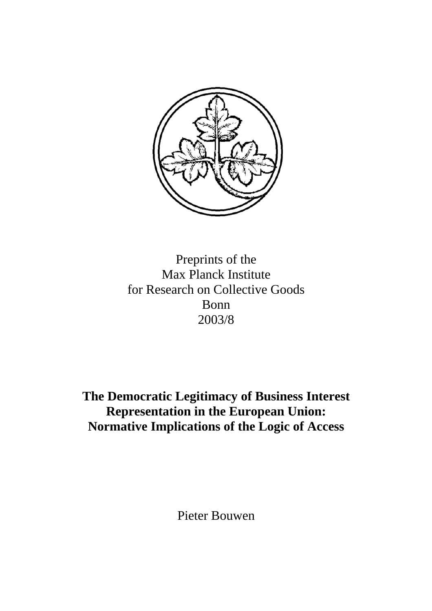

Preprints of the Max Planck Institute for Research on Collective Goods Bonn 2003/8

**The Democratic Legitimacy of Business Interest Representation in the European Union: Normative Implications of the Logic of Access**

Pieter Bouwen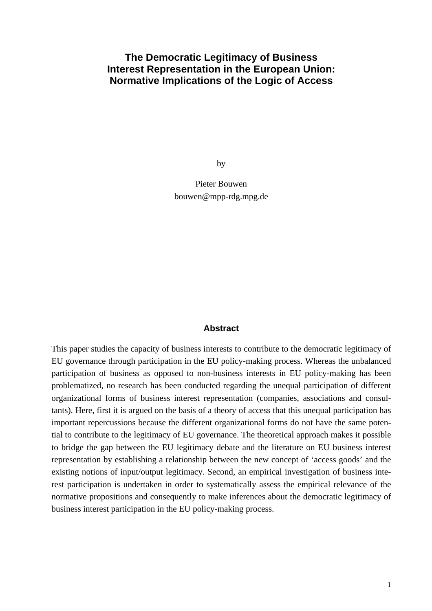### **The Democratic Legitimacy of Business Interest Representation in the European Union: Normative Implications of the Logic of Access**

by

Pieter Bouwen bouwen@mpp-rdg.mpg.de

#### **Abstract**

This paper studies the capacity of business interests to contribute to the democratic legitimacy of EU governance through participation in the EU policy-making process. Whereas the unbalanced participation of business as opposed to non-business interests in EU policy-making has been problematized, no research has been conducted regarding the unequal participation of different organizational forms of business interest representation (companies, associations and consultants). Here, first it is argued on the basis of a theory of access that this unequal participation has important repercussions because the different organizational forms do not have the same potential to contribute to the legitimacy of EU governance. The theoretical approach makes it possible to bridge the gap between the EU legitimacy debate and the literature on EU business interest representation by establishing a relationship between the new concept of 'access goods' and the existing notions of input/output legitimacy. Second, an empirical investigation of business interest participation is undertaken in order to systematically assess the empirical relevance of the normative propositions and consequently to make inferences about the democratic legitimacy of business interest participation in the EU policy-making process.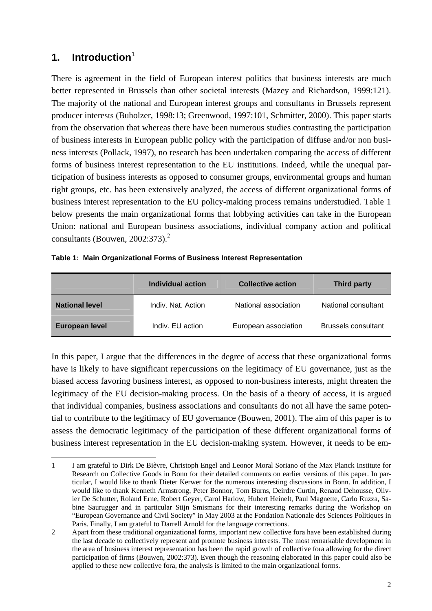# **1. Introduction**[1](#page-2-0)

There is agreement in the field of European interest politics that business interests are much better represented in Brussels than other societal interests (Mazey and Richardson, 1999:121). The majority of the national and European interest groups and consultants in Brussels represent producer interests (Buholzer, 1998:13; Greenwood, 1997:101, Schmitter, 2000). This paper starts from the observation that whereas there have been numerous studies contrasting the participation of business interests in European public policy with the participation of diffuse and/or non business interests (Pollack, 1997), no research has been undertaken comparing the access of different forms of business interest representation to the EU institutions. Indeed, while the unequal participation of business interests as opposed to consumer groups, environmental groups and human right groups, etc. has been extensively analyzed, the access of different organizational forms of business interest representation to the EU policy-making process remains understudied. Table 1 below presents the main organizational forms that lobbying activities can take in the European Union: national and European business associations, individual company action and political consultants (Bouwen,  $2002:373$ ).<sup>2</sup>

|  |  |  |  |  |  | Table 1: Main Organizational Forms of Business Interest Representation |
|--|--|--|--|--|--|------------------------------------------------------------------------|
|--|--|--|--|--|--|------------------------------------------------------------------------|

|                       | Individual action  | <b>Collective action</b> | Third party                |
|-----------------------|--------------------|--------------------------|----------------------------|
| <b>National level</b> | Indiv. Nat. Action | National association     | National consultant        |
| <b>European level</b> | Indiv. EU action   | European association     | <b>Brussels consultant</b> |

In this paper, I argue that the differences in the degree of access that these organizational forms have is likely to have significant repercussions on the legitimacy of EU governance, just as the biased access favoring business interest, as opposed to non-business interests, might threaten the legitimacy of the EU decision-making process. On the basis of a theory of access, it is argued that individual companies, business associations and consultants do not all have the same potential to contribute to the legitimacy of EU governance (Bouwen, 2001). The aim of this paper is to assess the democratic legitimacy of the participation of these different organizational forms of business interest representation in the EU decision-making system. However, it needs to be em-

<span id="page-2-0"></span>l 1 I am grateful to Dirk De Bièvre, Christoph Engel and Leonor Moral Soriano of the Max Planck Institute for Research on Collective Goods in Bonn for their detailed comments on earlier versions of this paper. In particular, I would like to thank Dieter Kerwer for the numerous interesting discussions in Bonn. In addition, I would like to thank Kenneth Armstrong, Peter Bonnor, Tom Burns, Deirdre Curtin, Renaud Dehousse, Olivier De Schutter, Roland Erne, Robert Geyer, Carol Harlow, Hubert Heinelt, Paul Magnette, Carlo Ruzza, Sabine Saurugger and in particular Stijn Smismans for their interesting remarks during the Workshop on "European Governance and Civil Society" in May 2003 at the Fondation Nationale des Sciences Politiques in Paris. Finally, I am grateful to Darrell Arnold for the language corrections.

<span id="page-2-1"></span><sup>2</sup> Apart from these traditional organizational forms, important new collective fora have been established during the last decade to collectively represent and promote business interests. The most remarkable development in the area of business interest representation has been the rapid growth of collective fora allowing for the direct participation of firms (Bouwen, 2002:373). Even though the reasoning elaborated in this paper could also be applied to these new collective fora, the analysis is limited to the main organizational forms.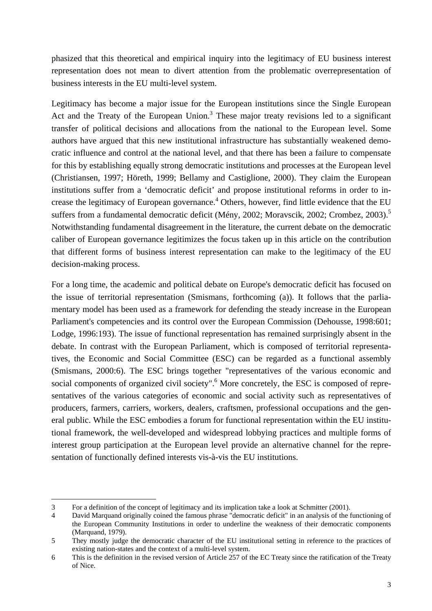phasized that this theoretical and empirical inquiry into the legitimacy of EU business interest representation does not mean to divert attention from the problematic overrepresentation of business interests in the EU multi-level system.

Legitimacy has become a major issue for the European institutions since the Single European Act and the Treaty of the European Union. $3$  These major treaty revisions led to a significant transfer of political decisions and allocations from the national to the European level. Some authors have argued that this new institutional infrastructure has substantially weakened democratic influence and control at the national level, and that there has been a failure to compensate for this by establishing equally strong democratic institutions and processes at the European level (Christiansen, 1997; Höreth, 1999; Bellamy and Castiglione, 2000). They claim the European institutions suffer from a 'democratic deficit' and propose institutional reforms in order to in-crease the legitimacy of European governance.<sup>[4](#page-3-1)</sup> Others, however, find little evidence that the EU suffers from a fundamental democratic deficit (Mény, 2002; Moravscik, 2002; Crombez, 2003).<sup>[5](#page-3-2)</sup> Notwithstanding fundamental disagreement in the literature, the current debate on the democratic caliber of European governance legitimizes the focus taken up in this article on the contribution that different forms of business interest representation can make to the legitimacy of the EU decision-making process.

For a long time, the academic and political debate on Europe's democratic deficit has focused on the issue of territorial representation (Smismans, forthcoming (a)). It follows that the parliamentary model has been used as a framework for defending the steady increase in the European Parliament's competencies and its control over the European Commission (Dehousse, 1998:601; Lodge, 1996:193). The issue of functional representation has remained surprisingly absent in the debate. In contrast with the European Parliament, which is composed of territorial representatives, the Economic and Social Committee (ESC) can be regarded as a functional assembly (Smismans, 2000:6). The ESC brings together "representatives of the various economic and social components of organized civil society". More concretely, the ESC is composed of representatives of the various categories of economic and social activity such as representatives of producers, farmers, carriers, workers, dealers, craftsmen, professional occupations and the general public. While the ESC embodies a forum for functional representation within the EU institutional framework, the well-developed and widespread lobbying practices and multiple forms of interest group participation at the European level provide an alternative channel for the representation of functionally defined interests vis-à-vis the EU institutions.

<span id="page-3-0"></span><sup>3</sup> For a definition of the concept of legitimacy and its implication take a look at Schmitter (2001).

<span id="page-3-1"></span><sup>4</sup> David Marquand originally coined the famous phrase "democratic deficit" in an analysis of the functioning of the European Community Institutions in order to underline the weakness of their democratic components (Marquand, 1979).

<span id="page-3-2"></span><sup>5</sup> They mostly judge the democratic character of the EU institutional setting in reference to the practices of existing nation-states and the context of a multi-level system.

<span id="page-3-3"></span><sup>6</sup> This is the definition in the revised version of Article 257 of the EC Treaty since the ratification of the Treaty of Nice.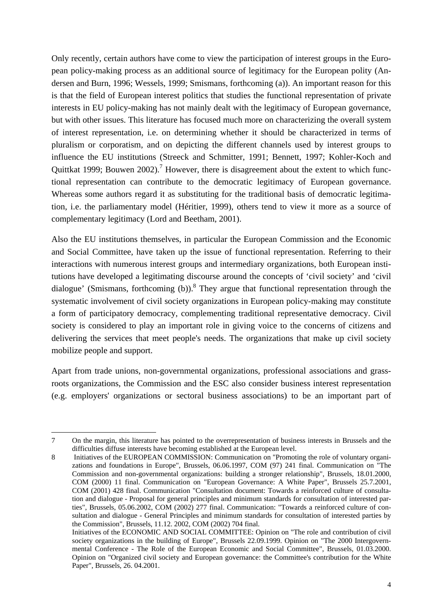Only recently, certain authors have come to view the participation of interest groups in the European policy-making process as an additional source of legitimacy for the European polity (Andersen and Burn, 1996; Wessels, 1999; Smismans, forthcoming (a)). An important reason for this is that the field of European interest politics that studies the functional representation of private interests in EU policy-making has not mainly dealt with the legitimacy of European governance, but with other issues. This literature has focused much more on characterizing the overall system of interest representation, i.e. on determining whether it should be characterized in terms of pluralism or corporatism, and on depicting the different channels used by interest groups to influence the EU institutions (Streeck and Schmitter, 1991; Bennett, 1997; Kohler-Koch and Quittkat 1999; Bouwen 2002).<sup>[7](#page-4-0)</sup> However, there is disagreement about the extent to which functional representation can contribute to the democratic legitimacy of European governance. Whereas some authors regard it as substituting for the traditional basis of democratic legitimation, i.e. the parliamentary model (Héritier, 1999), others tend to view it more as a source of complementary legitimacy (Lord and Beetham, 2001).

Also the EU institutions themselves, in particular the European Commission and the Economic and Social Committee, have taken up the issue of functional representation. Referring to their interactions with numerous interest groups and intermediary organizations, both European institutions have developed a legitimating discourse around the concepts of 'civil society' and 'civil dialogue' (Smismans, forthcoming (b)).<sup>8</sup> They argue that functional representation through the systematic involvement of civil society organizations in European policy-making may constitute a form of participatory democracy, complementing traditional representative democracy. Civil society is considered to play an important role in giving voice to the concerns of citizens and delivering the services that meet people's needs. The organizations that make up civil society mobilize people and support.

Apart from trade unions, non-governmental organizations, professional associations and grassroots organizations, the Commission and the ESC also consider business interest representation (e.g. employers' organizations or sectoral business associations) to be an important part of

Paper", Brussels, 26. 04.2001.

<span id="page-4-0"></span>l 7 On the margin, this literature has pointed to the overrepresentation of business interests in Brussels and the difficulties diffuse interests have becoming established at the European level.

<span id="page-4-1"></span><sup>8</sup> Initiatives of the EUROPEAN COMMISSION: Communication on "Promoting the role of voluntary organizations and foundations in Europe", Brussels, 06.06.1997, COM (97) 241 final. Communication on "The Commission and non-governmental organizations: building a stronger relationship", Brussels, 18.01.2000, COM (2000) 11 final. Communication on "European Governance: A White Paper", Brussels 25.7.2001, COM (2001) 428 final. Communication "Consultation document: Towards a reinforced culture of consultation and dialogue - Proposal for general principles and minimum standards for consultation of interested parties", Brussels, 05.06.2002, COM (2002) 277 final. Communication: "Towards a reinforced culture of consultation and dialogue - General Principles and minimum standards for consultation of interested parties by the Commission", Brussels, 11.12. 2002, COM (2002) 704 final. Initiatives of the ECONOMIC AND SOCIAL COMMITTEE: Opinion on "The role and contribution of civil society organizations in the building of Europe", Brussels 22.09.1999. Opinion on "The 2000 Intergovernmental Conference - The Role of the European Economic and Social Committee", Brussels, 01.03.2000. Opinion on "Organized civil society and European governance: the Committee's contribution for the White

<sup>4</sup>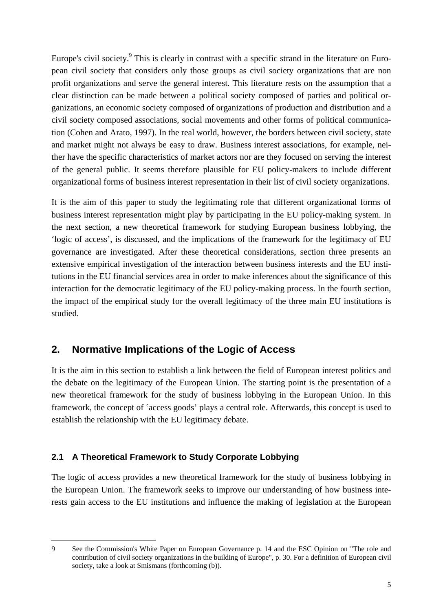Europe's civil society.<sup>[9](#page-5-0)</sup> This is clearly in contrast with a specific strand in the literature on European civil society that considers only those groups as civil society organizations that are non profit organizations and serve the general interest. This literature rests on the assumption that a clear distinction can be made between a political society composed of parties and political organizations, an economic society composed of organizations of production and distribution and a civil society composed associations, social movements and other forms of political communication (Cohen and Arato, 1997). In the real world, however, the borders between civil society, state and market might not always be easy to draw. Business interest associations, for example, neither have the specific characteristics of market actors nor are they focused on serving the interest of the general public. It seems therefore plausible for EU policy-makers to include different organizational forms of business interest representation in their list of civil society organizations.

It is the aim of this paper to study the legitimating role that different organizational forms of business interest representation might play by participating in the EU policy-making system. In the next section, a new theoretical framework for studying European business lobbying, the 'logic of access', is discussed, and the implications of the framework for the legitimacy of EU governance are investigated. After these theoretical considerations, section three presents an extensive empirical investigation of the interaction between business interests and the EU institutions in the EU financial services area in order to make inferences about the significance of this interaction for the democratic legitimacy of the EU policy-making process. In the fourth section, the impact of the empirical study for the overall legitimacy of the three main EU institutions is studied.

### **2. Normative Implications of the Logic of Access**

It is the aim in this section to establish a link between the field of European interest politics and the debate on the legitimacy of the European Union. The starting point is the presentation of a new theoretical framework for the study of business lobbying in the European Union. In this framework, the concept of 'access goods' plays a central role. Afterwards, this concept is used to establish the relationship with the EU legitimacy debate.

#### **2.1 A Theoretical Framework to Study Corporate Lobbying**

l

The logic of access provides a new theoretical framework for the study of business lobbying in the European Union. The framework seeks to improve our understanding of how business interests gain access to the EU institutions and influence the making of legislation at the European

<span id="page-5-0"></span><sup>9</sup> See the Commission's White Paper on European Governance p. 14 and the ESC Opinion on "The role and contribution of civil society organizations in the building of Europe", p. 30. For a definition of European civil society, take a look at Smismans (forthcoming (b)).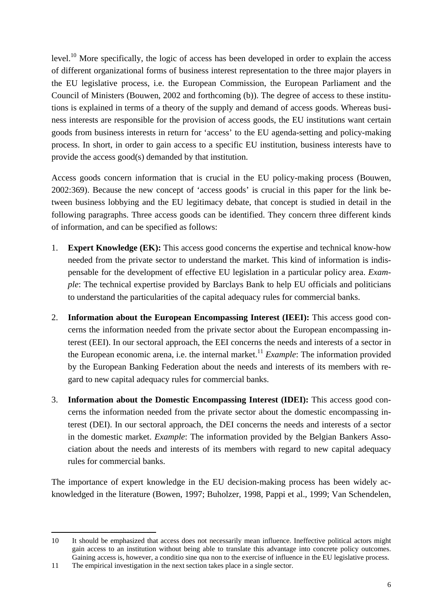level.<sup>10</sup> More specifically, the logic of access has been developed in order to explain the access of different organizational forms of business interest representation to the three major players in the EU legislative process, i.e. the European Commission, the European Parliament and the Council of Ministers (Bouwen, 2002 and forthcoming (b)). The degree of access to these institutions is explained in terms of a theory of the supply and demand of access goods. Whereas business interests are responsible for the provision of access goods, the EU institutions want certain goods from business interests in return for 'access' to the EU agenda-setting and policy-making process. In short, in order to gain access to a specific EU institution, business interests have to provide the access good(s) demanded by that institution.

Access goods concern information that is crucial in the EU policy-making process (Bouwen, 2002:369). Because the new concept of 'access goods' is crucial in this paper for the link between business lobbying and the EU legitimacy debate, that concept is studied in detail in the following paragraphs. Three access goods can be identified. They concern three different kinds of information, and can be specified as follows:

- 1. **Expert Knowledge (EK):** This access good concerns the expertise and technical know-how needed from the private sector to understand the market. This kind of information is indispensable for the development of effective EU legislation in a particular policy area. *Example*: The technical expertise provided by Barclays Bank to help EU officials and politicians to understand the particularities of the capital adequacy rules for commercial banks.
- 2. **Information about the European Encompassing Interest (IEEI):** This access good concerns the information needed from the private sector about the European encompassing interest (EEI). In our sectoral approach, the EEI concerns the needs and interests of a sector in the European economic arena, i.e. the internal market.<sup>[11](#page-6-1)</sup> *Example*: The information provided by the European Banking Federation about the needs and interests of its members with regard to new capital adequacy rules for commercial banks.
- 3. **Information about the Domestic Encompassing Interest (IDEI):** This access good concerns the information needed from the private sector about the domestic encompassing interest (DEI). In our sectoral approach, the DEI concerns the needs and interests of a sector in the domestic market. *Example*: The information provided by the Belgian Bankers Association about the needs and interests of its members with regard to new capital adequacy rules for commercial banks.

The importance of expert knowledge in the EU decision-making process has been widely acknowledged in the literature (Bowen, 1997; Buholzer, 1998, Pappi et al., 1999; Van Schendelen,

<span id="page-6-0"></span>l 10 It should be emphasized that access does not necessarily mean influence. Ineffective political actors might gain access to an institution without being able to translate this advantage into concrete policy outcomes. Gaining access is, however, a conditio sine qua non to the exercise of influence in the EU legislative process.

<span id="page-6-1"></span><sup>11</sup> The empirical investigation in the next section takes place in a single sector.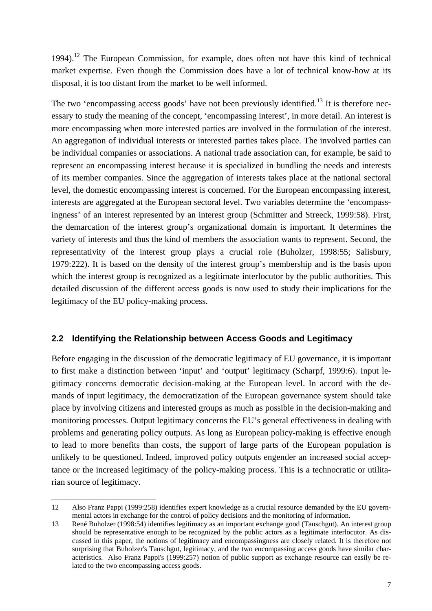1994).<sup>12</sup> The European Commission, for example, does often not have this kind of technical market expertise. Even though the Commission does have a lot of technical know-how at its disposal, it is too distant from the market to be well informed.

The two 'encompassing access goods' have not been previously identified.<sup>13</sup> It is therefore necessary to study the meaning of the concept, 'encompassing interest', in more detail. An interest is more encompassing when more interested parties are involved in the formulation of the interest. An aggregation of individual interests or interested parties takes place. The involved parties can be individual companies or associations. A national trade association can, for example, be said to represent an encompassing interest because it is specialized in bundling the needs and interests of its member companies. Since the aggregation of interests takes place at the national sectoral level, the domestic encompassing interest is concerned. For the European encompassing interest, interests are aggregated at the European sectoral level. Two variables determine the 'encompassingness' of an interest represented by an interest group (Schmitter and Streeck, 1999:58). First, the demarcation of the interest group's organizational domain is important. It determines the variety of interests and thus the kind of members the association wants to represent. Second, the representativity of the interest group plays a crucial role (Buholzer, 1998:55; Salisbury, 1979:222). It is based on the density of the interest group's membership and is the basis upon which the interest group is recognized as a legitimate interlocutor by the public authorities. This detailed discussion of the different access goods is now used to study their implications for the legitimacy of the EU policy-making process.

#### **2.2 Identifying the Relationship between Access Goods and Legitimacy**

Before engaging in the discussion of the democratic legitimacy of EU governance, it is important to first make a distinction between 'input' and 'output' legitimacy (Scharpf, 1999:6). Input legitimacy concerns democratic decision-making at the European level. In accord with the demands of input legitimacy, the democratization of the European governance system should take place by involving citizens and interested groups as much as possible in the decision-making and monitoring processes. Output legitimacy concerns the EU's general effectiveness in dealing with problems and generating policy outputs. As long as European policy-making is effective enough to lead to more benefits than costs, the support of large parts of the European population is unlikely to be questioned. Indeed, improved policy outputs engender an increased social acceptance or the increased legitimacy of the policy-making process. This is a technocratic or utilitarian source of legitimacy.

<span id="page-7-0"></span><sup>12</sup> Also Franz Pappi (1999:258) identifies expert knowledge as a crucial resource demanded by the EU governmental actors in exchange for the control of policy decisions and the monitoring of information.

<span id="page-7-1"></span><sup>13</sup> René Buholzer (1998:54) identifies legitimacy as an important exchange good (Tauschgut). An interest group should be representative enough to be recognized by the public actors as a legitimate interlocutor. As discussed in this paper, the notions of legitimacy and encompassingness are closely related. It is therefore not surprising that Buholzer's Tauschgut, legitimacy, and the two encompassing access goods have similar characteristics. Also Franz Pappi's (1999:257) notion of public support as exchange resource can easily be related to the two encompassing access goods.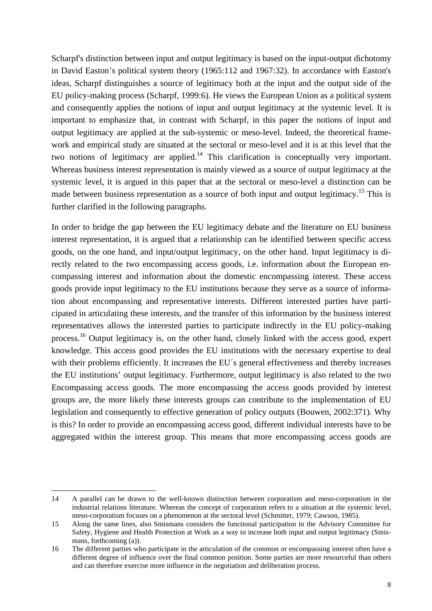Scharpf's distinction between input and output legitimacy is based on the input-output dichotomy in David Easton's political system theory (1965:112 and 1967:32). In accordance with Easton's ideas, Scharpf distinguishes a source of legitimacy both at the input and the output side of the EU policy-making process (Scharpf, 1999:6). He views the European Union as a political system and consequently applies the notions of input and output legitimacy at the systemic level. It is important to emphasize that, in contrast with Scharpf, in this paper the notions of input and output legitimacy are applied at the sub-systemic or meso-level. Indeed, the theoretical framework and empirical study are situated at the sectoral or meso-level and it is at this level that the two notions of legitimacy are applied.<sup>14</sup> This clarification is conceptually very important. Whereas business interest representation is mainly viewed as a source of output legitimacy at the systemic level, it is argued in this paper that at the sectoral or meso-level a distinction can be made between business representation as a source of both input and output legitimacy.<sup>15</sup> This is further clarified in the following paragraphs.

In order to bridge the gap between the EU legitimacy debate and the literature on EU business interest representation, it is argued that a relationship can be identified between specific access goods, on the one hand, and input/output legitimacy, on the other hand. Input legitimacy is directly related to the two encompassing access goods, i.e. information about the European encompassing interest and information about the domestic encompassing interest. These access goods provide input legitimacy to the EU institutions because they serve as a source of information about encompassing and representative interests. Different interested parties have participated in articulating these interests, and the transfer of this information by the business interest representatives allows the interested parties to participate indirectly in the EU policy-making process.<sup>16</sup> Output legitimacy is, on the other hand, closely linked with the access good, expert knowledge. This access good provides the EU institutions with the necessary expertise to deal with their problems efficiently. It increases the EU's general effectiveness and thereby increases the EU institutions' output legitimacy. Furthermore, output legitimacy is also related to the two Encompassing access goods. The more encompassing the access goods provided by interest groups are, the more likely these interests groups can contribute to the implementation of EU legislation and consequently to effective generation of policy outputs (Bouwen, 2002:371). Why is this? In order to provide an encompassing access good, different individual interests have to be aggregated within the interest group. This means that more encompassing access goods are

<span id="page-8-0"></span><sup>14</sup> A parallel can be drawn to the well-known distinction between corporatism and meso-corporatism in the industrial relations literature. Whereas the concept of corporatism refers to a situation at the systemic level, meso-corporatism focuses on a phenomenon at the sectoral level (Schmitter, 1979; Cawson, 1985).

<span id="page-8-1"></span><sup>15</sup> Along the same lines, also Smismans considers the functional participation in the Advisory Committee for Safety, Hygiene and Health Protection at Work as a way to increase both input and output legitimacy (Smismans, forthcoming (a)).

<span id="page-8-2"></span><sup>16</sup> The different parties who participate in the articulation of the common or encompassing interest often have a different degree of influence over the final common position. Some parties are more resourceful than others and can therefore exercise more influence in the negotiation and deliberation process.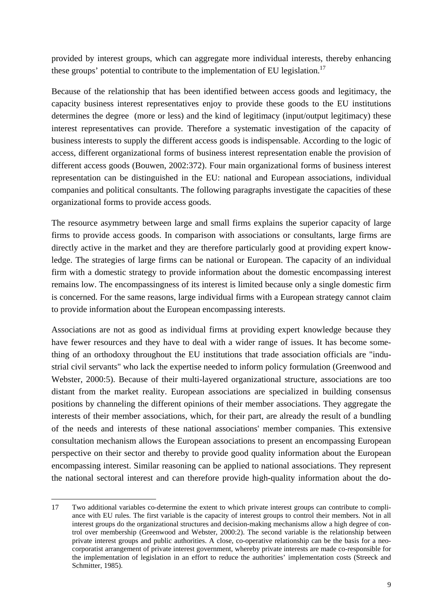provided by interest groups, which can aggregate more individual interests, thereby enhancing these groups' potential to contribute to the implementation of EU legislation.<sup>[17](#page-9-0)</sup>

Because of the relationship that has been identified between access goods and legitimacy, the capacity business interest representatives enjoy to provide these goods to the EU institutions determines the degree (more or less) and the kind of legitimacy (input/output legitimacy) these interest representatives can provide. Therefore a systematic investigation of the capacity of business interests to supply the different access goods is indispensable. According to the logic of access, different organizational forms of business interest representation enable the provision of different access goods (Bouwen, 2002:372). Four main organizational forms of business interest representation can be distinguished in the EU: national and European associations, individual companies and political consultants. The following paragraphs investigate the capacities of these organizational forms to provide access goods.

The resource asymmetry between large and small firms explains the superior capacity of large firms to provide access goods. In comparison with associations or consultants, large firms are directly active in the market and they are therefore particularly good at providing expert knowledge. The strategies of large firms can be national or European. The capacity of an individual firm with a domestic strategy to provide information about the domestic encompassing interest remains low. The encompassingness of its interest is limited because only a single domestic firm is concerned. For the same reasons, large individual firms with a European strategy cannot claim to provide information about the European encompassing interests.

Associations are not as good as individual firms at providing expert knowledge because they have fewer resources and they have to deal with a wider range of issues. It has become something of an orthodoxy throughout the EU institutions that trade association officials are "industrial civil servants" who lack the expertise needed to inform policy formulation (Greenwood and Webster, 2000:5). Because of their multi-layered organizational structure, associations are too distant from the market reality. European associations are specialized in building consensus positions by channeling the different opinions of their member associations. They aggregate the interests of their member associations, which, for their part, are already the result of a bundling of the needs and interests of these national associations' member companies. This extensive consultation mechanism allows the European associations to present an encompassing European perspective on their sector and thereby to provide good quality information about the European encompassing interest. Similar reasoning can be applied to national associations. They represent the national sectoral interest and can therefore provide high-quality information about the do-

<span id="page-9-0"></span><sup>17</sup> Two additional variables co-determine the extent to which private interest groups can contribute to compliance with EU rules. The first variable is the capacity of interest groups to control their members. Not in all interest groups do the organizational structures and decision-making mechanisms allow a high degree of control over membership (Greenwood and Webster, 2000:2). The second variable is the relationship between private interest groups and public authorities. A close, co-operative relationship can be the basis for a neocorporatist arrangement of private interest government, whereby private interests are made co-responsible for the implementation of legislation in an effort to reduce the authorities' implementation costs (Streeck and Schmitter, 1985).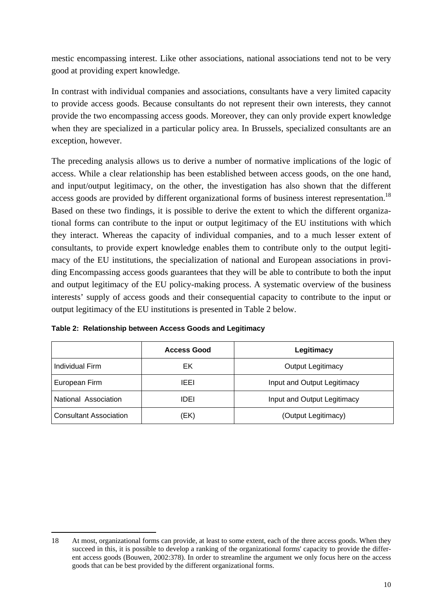mestic encompassing interest. Like other associations, national associations tend not to be very good at providing expert knowledge.

In contrast with individual companies and associations, consultants have a very limited capacity to provide access goods. Because consultants do not represent their own interests, they cannot provide the two encompassing access goods. Moreover, they can only provide expert knowledge when they are specialized in a particular policy area. In Brussels, specialized consultants are an exception, however.

The preceding analysis allows us to derive a number of normative implications of the logic of access. While a clear relationship has been established between access goods, on the one hand, and input/output legitimacy, on the other, the investigation has also shown that the different access goods are provided by different organizational forms of business interest representation.<sup>[18](#page-10-0)</sup> Based on these two findings, it is possible to derive the extent to which the different organizational forms can contribute to the input or output legitimacy of the EU institutions with which they interact. Whereas the capacity of individual companies, and to a much lesser extent of consultants, to provide expert knowledge enables them to contribute only to the output legitimacy of the EU institutions, the specialization of national and European associations in providing Encompassing access goods guarantees that they will be able to contribute to both the input and output legitimacy of the EU policy-making process. A systematic overview of the business interests' supply of access goods and their consequential capacity to contribute to the input or output legitimacy of the EU institutions is presented in Table 2 below.

|                               | Access Good | Legitimacy                  |  |
|-------------------------------|-------------|-----------------------------|--|
| Individual Firm               | ЕK          | <b>Output Legitimacy</b>    |  |
| European Firm                 | IEEI        | Input and Output Legitimacy |  |
| National Association          | IDEI        | Input and Output Legitimacy |  |
| <b>Consultant Association</b> | (EK)        | (Output Legitimacy)         |  |

**Table 2: Relationship between Access Goods and Legitimacy**

<span id="page-10-0"></span><sup>18</sup> At most, organizational forms can provide, at least to some extent, each of the three access goods. When they succeed in this, it is possible to develop a ranking of the organizational forms' capacity to provide the different access goods (Bouwen, 2002:378). In order to streamline the argument we only focus here on the access goods that can be best provided by the different organizational forms.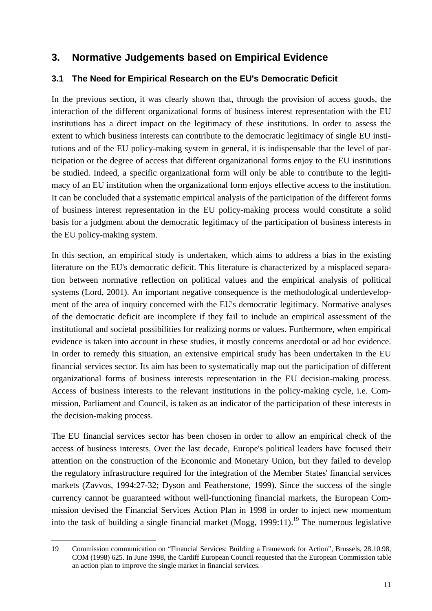## **3. Normative Judgements based on Empirical Evidence**

### **3.1 The Need for Empirical Research on the EU's Democratic Deficit**

In the previous section, it was clearly shown that, through the provision of access goods, the interaction of the different organizational forms of business interest representation with the EU institutions has a direct impact on the legitimacy of these institutions. In order to assess the extent to which business interests can contribute to the democratic legitimacy of single EU institutions and of the EU policy-making system in general, it is indispensable that the level of participation or the degree of access that different organizational forms enjoy to the EU institutions be studied. Indeed, a specific organizational form will only be able to contribute to the legitimacy of an EU institution when the organizational form enjoys effective access to the institution. It can be concluded that a systematic empirical analysis of the participation of the different forms of business interest representation in the EU policy-making process would constitute a solid basis for a judgment about the democratic legitimacy of the participation of business interests in the EU policy-making system.

In this section, an empirical study is undertaken, which aims to address a bias in the existing literature on the EU's democratic deficit. This literature is characterized by a misplaced separation between normative reflection on political values and the empirical analysis of political systems (Lord, 2001). An important negative consequence is the methodological underdevelopment of the area of inquiry concerned with the EU's democratic legitimacy. Normative analyses of the democratic deficit are incomplete if they fail to include an empirical assessment of the institutional and societal possibilities for realizing norms or values. Furthermore, when empirical evidence is taken into account in these studies, it mostly concerns anecdotal or ad hoc evidence. In order to remedy this situation, an extensive empirical study has been undertaken in the EU financial services sector. Its aim has been to systematically map out the participation of different organizational forms of business interests representation in the EU decision-making process. Access of business interests to the relevant institutions in the policy-making cycle, i.e. Commission, Parliament and Council, is taken as an indicator of the participation of these interests in the decision-making process.

The EU financial services sector has been chosen in order to allow an empirical check of the access of business interests. Over the last decade, Europe's political leaders have focused their attention on the construction of the Economic and Monetary Union, but they failed to develop the regulatory infrastructure required for the integration of the Member States' financial services markets (Zavvos, 1994:27-32; Dyson and Featherstone, 1999). Since the success of the single currency cannot be guaranteed without well-functioning financial markets, the European Commission devised the Financial Services Action Plan in 1998 in order to inject new momentum into the task of building a single financial market (Mogg, 1999:11).<sup>19</sup> The numerous legislative

<span id="page-11-0"></span>l 19 Commission communication on "Financial Services: Building a Framework for Action", Brussels, 28.10.98, COM (1998) 625. In June 1998, the Cardiff European Council requested that the European Commission table an action plan to improve the single market in financial services.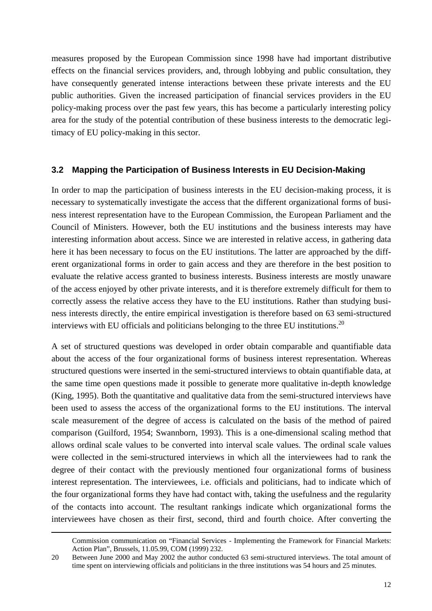measures proposed by the European Commission since 1998 have had important distributive effects on the financial services providers, and, through lobbying and public consultation, they have consequently generated intense interactions between these private interests and the EU public authorities. Given the increased participation of financial services providers in the EU policy-making process over the past few years, this has become a particularly interesting policy area for the study of the potential contribution of these business interests to the democratic legitimacy of EU policy-making in this sector.

#### **3.2 Mapping the Participation of Business Interests in EU Decision-Making**

In order to map the participation of business interests in the EU decision-making process, it is necessary to systematically investigate the access that the different organizational forms of business interest representation have to the European Commission, the European Parliament and the Council of Ministers. However, both the EU institutions and the business interests may have interesting information about access. Since we are interested in relative access, in gathering data here it has been necessary to focus on the EU institutions. The latter are approached by the different organizational forms in order to gain access and they are therefore in the best position to evaluate the relative access granted to business interests. Business interests are mostly unaware of the access enjoyed by other private interests, and it is therefore extremely difficult for them to correctly assess the relative access they have to the EU institutions. Rather than studying business interests directly, the entire empirical investigation is therefore based on 63 semi-structured interviews with EU officials and politicians belonging to the three EU institutions.<sup>20</sup>

A set of structured questions was developed in order obtain comparable and quantifiable data about the access of the four organizational forms of business interest representation. Whereas structured questions were inserted in the semi-structured interviews to obtain quantifiable data, at the same time open questions made it possible to generate more qualitative in-depth knowledge (King, 1995). Both the quantitative and qualitative data from the semi-structured interviews have been used to assess the access of the organizational forms to the EU institutions. The interval scale measurement of the degree of access is calculated on the basis of the method of paired comparison (Guilford, 1954; Swannborn, 1993). This is a one-dimensional scaling method that allows ordinal scale values to be converted into interval scale values. The ordinal scale values were collected in the semi-structured interviews in which all the interviewees had to rank the degree of their contact with the previously mentioned four organizational forms of business interest representation. The interviewees, i.e. officials and politicians, had to indicate which of the four organizational forms they have had contact with, taking the usefulness and the regularity of the contacts into account. The resultant rankings indicate which organizational forms the interviewees have chosen as their first, second, third and fourth choice. After converting the

Commission communication on "Financial Services - Implementing the Framework for Financial Markets: Action Plan", Brussels, 11.05.99, COM (1999) 232.

<span id="page-12-0"></span><sup>20</sup> Between June 2000 and May 2002 the author conducted 63 semi-structured interviews. The total amount of time spent on interviewing officials and politicians in the three institutions was 54 hours and 25 minutes.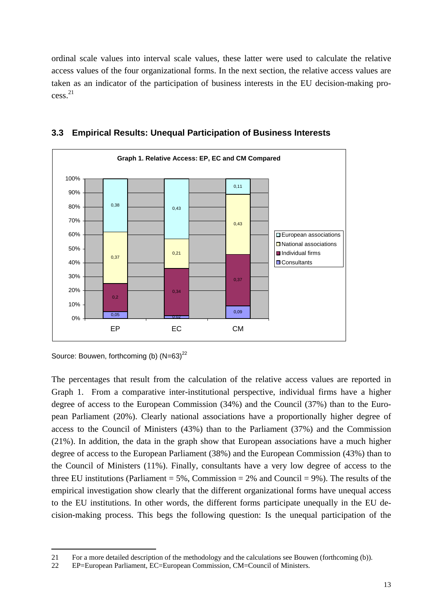ordinal scale values into interval scale values, these latter were used to calculate the relative access values of the four organizational forms. In the next section, the relative access values are taken as an indicator of the participation of business interests in the EU decision-making process.[21](#page-13-0)



#### **3.3 Empirical Results: Unequal Participation of Business Interests**

l

The percentages that result from the calculation of the relative access values are reported in Graph 1. From a comparative inter-institutional perspective, individual firms have a higher degree of access to the European Commission (34%) and the Council (37%) than to the European Parliament (20%). Clearly national associations have a proportionally higher degree of access to the Council of Ministers (43%) than to the Parliament (37%) and the Commission (21%). In addition, the data in the graph show that European associations have a much higher degree of access to the European Parliament (38%) and the European Commission (43%) than to the Council of Ministers (11%). Finally, consultants have a very low degree of access to the three EU institutions (Parliament  $= 5\%$ , Commission  $= 2\%$  and Council  $= 9\%$ ). The results of the empirical investigation show clearly that the different organizational forms have unequal access to the EU institutions. In other words, the different forms participate unequally in the EU decision-making process. This begs the following question: Is the unequal participation of the

Source: Bouwen, forthcoming (b)  $(N=63)^{22}$ 

<span id="page-13-0"></span><sup>21</sup> For a more detailed description of the methodology and the calculations see Bouwen (forthcoming (b)).

<span id="page-13-1"></span><sup>22</sup> EP=European Parliament, EC=European Commission, CM=Council of Ministers.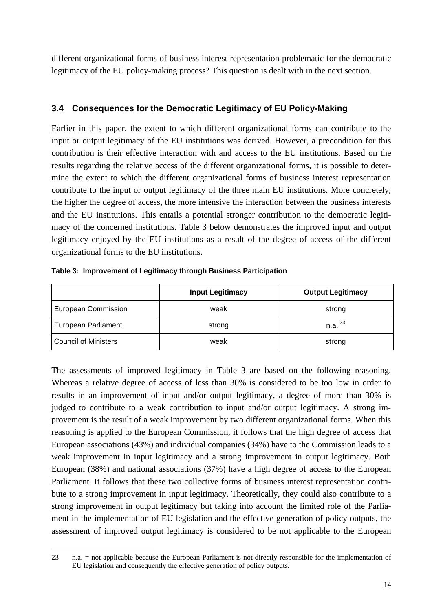different organizational forms of business interest representation problematic for the democratic legitimacy of the EU policy-making process? This question is dealt with in the next section.

#### **3.4 Consequences for the Democratic Legitimacy of EU Policy-Making**

Earlier in this paper, the extent to which different organizational forms can contribute to the input or output legitimacy of the EU institutions was derived. However, a precondition for this contribution is their effective interaction with and access to the EU institutions. Based on the results regarding the relative access of the different organizational forms, it is possible to determine the extent to which the different organizational forms of business interest representation contribute to the input or output legitimacy of the three main EU institutions. More concretely, the higher the degree of access, the more intensive the interaction between the business interests and the EU institutions. This entails a potential stronger contribution to the democratic legitimacy of the concerned institutions. Table 3 below demonstrates the improved input and output legitimacy enjoyed by the EU institutions as a result of the degree of access of the different organizational forms to the EU institutions.

|                             | <b>Input Legitimacy</b> | <b>Output Legitimacy</b> |  |
|-----------------------------|-------------------------|--------------------------|--|
| European Commission         | weak                    | strong                   |  |
| European Parliament         | strong                  | n.a. <sup>23</sup>       |  |
| <b>Council of Ministers</b> | weak                    | strong                   |  |

**Table 3: Improvement of Legitimacy through Business Participation** 

The assessments of improved legitimacy in Table 3 are based on the following reasoning. Whereas a relative degree of access of less than 30% is considered to be too low in order to results in an improvement of input and/or output legitimacy, a degree of more than 30% is judged to contribute to a weak contribution to input and/or output legitimacy. A strong improvement is the result of a weak improvement by two different organizational forms. When this reasoning is applied to the European Commission, it follows that the high degree of access that European associations (43%) and individual companies (34%) have to the Commission leads to a weak improvement in input legitimacy and a strong improvement in output legitimacy. Both European (38%) and national associations (37%) have a high degree of access to the European Parliament. It follows that these two collective forms of business interest representation contribute to a strong improvement in input legitimacy. Theoretically, they could also contribute to a strong improvement in output legitimacy but taking into account the limited role of the Parliament in the implementation of EU legislation and the effective generation of policy outputs, the assessment of improved output legitimacy is considered to be not applicable to the European

<span id="page-14-0"></span>l 23 n.a. = not applicable because the European Parliament is not directly responsible for the implementation of EU legislation and consequently the effective generation of policy outputs.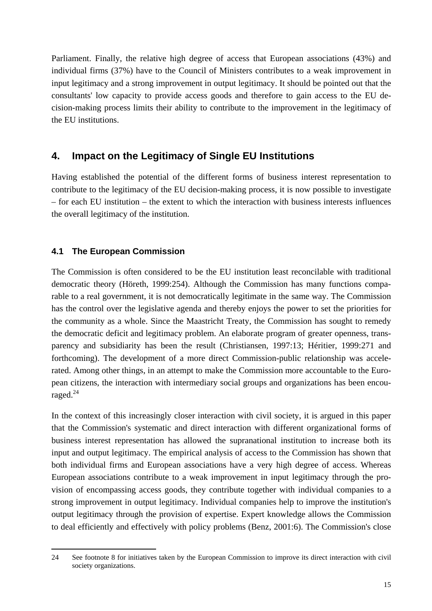Parliament. Finally, the relative high degree of access that European associations (43%) and individual firms (37%) have to the Council of Ministers contributes to a weak improvement in input legitimacy and a strong improvement in output legitimacy. It should be pointed out that the consultants' low capacity to provide access goods and therefore to gain access to the EU decision-making process limits their ability to contribute to the improvement in the legitimacy of the EU institutions.

### **4. Impact on the Legitimacy of Single EU Institutions**

Having established the potential of the different forms of business interest representation to contribute to the legitimacy of the EU decision-making process, it is now possible to investigate – for each EU institution – the extent to which the interaction with business interests influences the overall legitimacy of the institution.

#### **4.1 The European Commission**

l

The Commission is often considered to be the EU institution least reconcilable with traditional democratic theory (Höreth, 1999:254). Although the Commission has many functions comparable to a real government, it is not democratically legitimate in the same way. The Commission has the control over the legislative agenda and thereby enjoys the power to set the priorities for the community as a whole. Since the Maastricht Treaty, the Commission has sought to remedy the democratic deficit and legitimacy problem. An elaborate program of greater openness, transparency and subsidiarity has been the result (Christiansen, 1997:13; Héritier, 1999:271 and forthcoming). The development of a more direct Commission-public relationship was accelerated. Among other things, in an attempt to make the Commission more accountable to the European citizens, the interaction with intermediary social groups and organizations has been encouraged[.24](#page-15-0) 

In the context of this increasingly closer interaction with civil society, it is argued in this paper that the Commission's systematic and direct interaction with different organizational forms of business interest representation has allowed the supranational institution to increase both its input and output legitimacy. The empirical analysis of access to the Commission has shown that both individual firms and European associations have a very high degree of access. Whereas European associations contribute to a weak improvement in input legitimacy through the provision of encompassing access goods, they contribute together with individual companies to a strong improvement in output legitimacy. Individual companies help to improve the institution's output legitimacy through the provision of expertise. Expert knowledge allows the Commission to deal efficiently and effectively with policy problems (Benz, 2001:6). The Commission's close

<span id="page-15-0"></span><sup>24</sup> See footnote 8 for initiatives taken by the European Commission to improve its direct interaction with civil society organizations.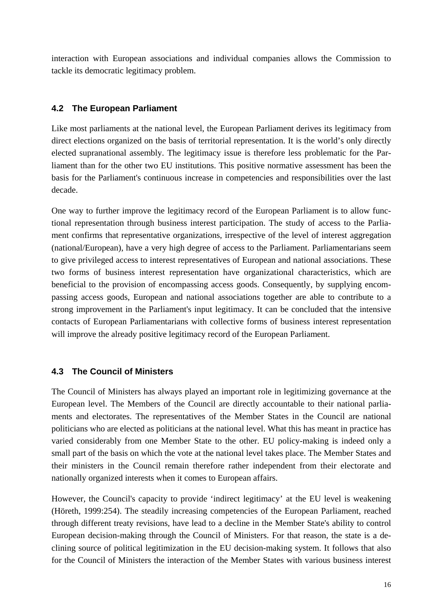interaction with European associations and individual companies allows the Commission to tackle its democratic legitimacy problem.

#### **4.2 The European Parliament**

Like most parliaments at the national level, the European Parliament derives its legitimacy from direct elections organized on the basis of territorial representation. It is the world's only directly elected supranational assembly. The legitimacy issue is therefore less problematic for the Parliament than for the other two EU institutions. This positive normative assessment has been the basis for the Parliament's continuous increase in competencies and responsibilities over the last decade.

One way to further improve the legitimacy record of the European Parliament is to allow functional representation through business interest participation. The study of access to the Parliament confirms that representative organizations, irrespective of the level of interest aggregation (national/European), have a very high degree of access to the Parliament. Parliamentarians seem to give privileged access to interest representatives of European and national associations. These two forms of business interest representation have organizational characteristics, which are beneficial to the provision of encompassing access goods. Consequently, by supplying encompassing access goods, European and national associations together are able to contribute to a strong improvement in the Parliament's input legitimacy. It can be concluded that the intensive contacts of European Parliamentarians with collective forms of business interest representation will improve the already positive legitimacy record of the European Parliament.

#### **4.3 The Council of Ministers**

The Council of Ministers has always played an important role in legitimizing governance at the European level. The Members of the Council are directly accountable to their national parliaments and electorates. The representatives of the Member States in the Council are national politicians who are elected as politicians at the national level. What this has meant in practice has varied considerably from one Member State to the other. EU policy-making is indeed only a small part of the basis on which the vote at the national level takes place. The Member States and their ministers in the Council remain therefore rather independent from their electorate and nationally organized interests when it comes to European affairs.

However, the Council's capacity to provide 'indirect legitimacy' at the EU level is weakening (Höreth, 1999:254). The steadily increasing competencies of the European Parliament, reached through different treaty revisions, have lead to a decline in the Member State's ability to control European decision-making through the Council of Ministers. For that reason, the state is a declining source of political legitimization in the EU decision-making system. It follows that also for the Council of Ministers the interaction of the Member States with various business interest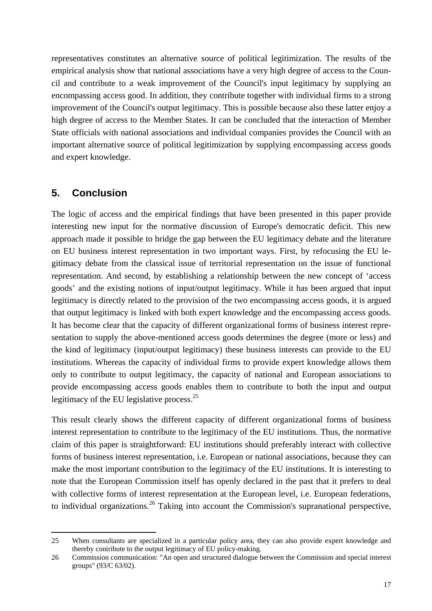representatives constitutes an alternative source of political legitimization. The results of the empirical analysis show that national associations have a very high degree of access to the Council and contribute to a weak improvement of the Council's input legitimacy by supplying an encompassing access good. In addition, they contribute together with individual firms to a strong improvement of the Council's output legitimacy. This is possible because also these latter enjoy a high degree of access to the Member States. It can be concluded that the interaction of Member State officials with national associations and individual companies provides the Council with an important alternative source of political legitimization by supplying encompassing access goods and expert knowledge.

### **5. Conclusion**

l

The logic of access and the empirical findings that have been presented in this paper provide interesting new input for the normative discussion of Europe's democratic deficit. This new approach made it possible to bridge the gap between the EU legitimacy debate and the literature on EU business interest representation in two important ways. First, by refocusing the EU legitimacy debate from the classical issue of territorial representation on the issue of functional representation. And second, by establishing a relationship between the new concept of 'access goods' and the existing notions of input/output legitimacy. While it has been argued that input legitimacy is directly related to the provision of the two encompassing access goods, it is argued that output legitimacy is linked with both expert knowledge and the encompassing access goods. It has become clear that the capacity of different organizational forms of business interest representation to supply the above-mentioned access goods determines the degree (more or less) and the kind of legitimacy (input/output legitimacy) these business interests can provide to the EU institutions. Whereas the capacity of individual firms to provide expert knowledge allows them only to contribute to output legitimacy, the capacity of national and European associations to provide encompassing access goods enables them to contribute to both the input and output legitimacy of the EU legislative process. $25$ 

This result clearly shows the different capacity of different organizational forms of business interest representation to contribute to the legitimacy of the EU institutions. Thus, the normative claim of this paper is straightforward: EU institutions should preferably interact with collective forms of business interest representation, i.e. European or national associations, because they can make the most important contribution to the legitimacy of the EU institutions. It is interesting to note that the European Commission itself has openly declared in the past that it prefers to deal with collective forms of interest representation at the European level, i.e. European federations, to individual organizations.<sup>26</sup> Taking into account the Commission's supranational perspective,

<span id="page-17-0"></span><sup>25</sup> When consultants are specialized in a particular policy area, they can also provide expert knowledge and thereby contribute to the output legitimacy of EU policy-making.

<span id="page-17-1"></span><sup>26</sup> Commission communication: "An open and structured dialogue between the Commission and special interest groups" (93/C 63/02).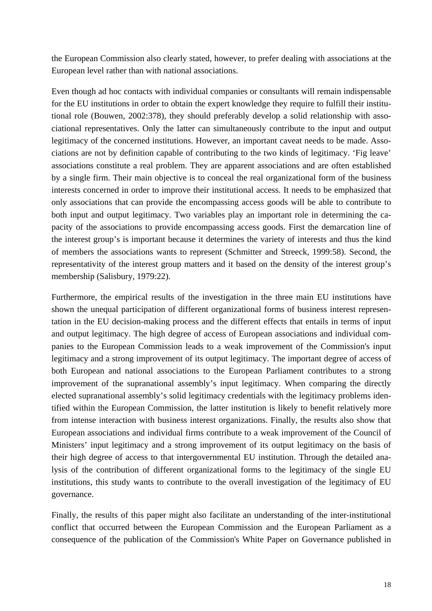the European Commission also clearly stated, however, to prefer dealing with associations at the European level rather than with national associations.

Even though ad hoc contacts with individual companies or consultants will remain indispensable for the EU institutions in order to obtain the expert knowledge they require to fulfill their institutional role (Bouwen, 2002:378), they should preferably develop a solid relationship with associational representatives. Only the latter can simultaneously contribute to the input and output legitimacy of the concerned institutions. However, an important caveat needs to be made. Associations are not by definition capable of contributing to the two kinds of legitimacy. 'Fig leave' associations constitute a real problem. They are apparent associations and are often established by a single firm. Their main objective is to conceal the real organizational form of the business interests concerned in order to improve their institutional access. It needs to be emphasized that only associations that can provide the encompassing access goods will be able to contribute to both input and output legitimacy. Two variables play an important role in determining the capacity of the associations to provide encompassing access goods. First the demarcation line of the interest group's is important because it determines the variety of interests and thus the kind of members the associations wants to represent (Schmitter and Streeck, 1999:58). Second, the representativity of the interest group matters and it based on the density of the interest group's membership (Salisbury, 1979:22).

Furthermore, the empirical results of the investigation in the three main EU institutions have shown the unequal participation of different organizational forms of business interest representation in the EU decision-making process and the different effects that entails in terms of input and output legitimacy. The high degree of access of European associations and individual companies to the European Commission leads to a weak improvement of the Commission's input legitimacy and a strong improvement of its output legitimacy. The important degree of access of both European and national associations to the European Parliament contributes to a strong improvement of the supranational assembly's input legitimacy. When comparing the directly elected supranational assembly's solid legitimacy credentials with the legitimacy problems identified within the European Commission, the latter institution is likely to benefit relatively more from intense interaction with business interest organizations. Finally, the results also show that European associations and individual firms contribute to a weak improvement of the Council of Ministers' input legitimacy and a strong improvement of its output legitimacy on the basis of their high degree of access to that intergovernmental EU institution. Through the detailed analysis of the contribution of different organizational forms to the legitimacy of the single EU institutions, this study wants to contribute to the overall investigation of the legitimacy of EU governance.

Finally, the results of this paper might also facilitate an understanding of the inter-institutional conflict that occurred between the European Commission and the European Parliament as a consequence of the publication of the Commission's White Paper on Governance published in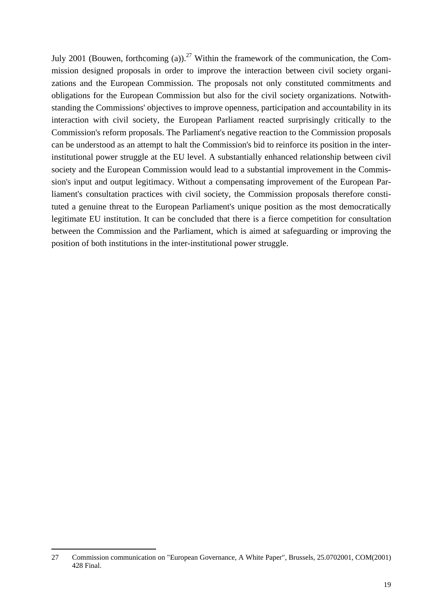July 2001 (Bouwen, forthcoming (a)).<sup>27</sup> Within the framework of the communication, the Commission designed proposals in order to improve the interaction between civil society organizations and the European Commission. The proposals not only constituted commitments and obligations for the European Commission but also for the civil society organizations. Notwithstanding the Commissions' objectives to improve openness, participation and accountability in its interaction with civil society, the European Parliament reacted surprisingly critically to the Commission's reform proposals. The Parliament's negative reaction to the Commission proposals can be understood as an attempt to halt the Commission's bid to reinforce its position in the interinstitutional power struggle at the EU level. A substantially enhanced relationship between civil society and the European Commission would lead to a substantial improvement in the Commission's input and output legitimacy. Without a compensating improvement of the European Parliament's consultation practices with civil society, the Commission proposals therefore constituted a genuine threat to the European Parliament's unique position as the most democratically legitimate EU institution. It can be concluded that there is a fierce competition for consultation between the Commission and the Parliament, which is aimed at safeguarding or improving the position of both institutions in the inter-institutional power struggle.

<span id="page-19-0"></span><sup>27</sup> Commission communication on "European Governance, A White Paper", Brussels, 25.0702001, COM(2001) 428 Final.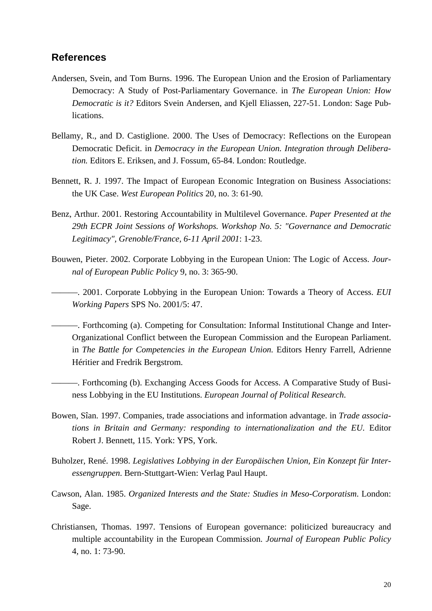#### **References**

- Andersen, Svein, and Tom Burns. 1996. The European Union and the Erosion of Parliamentary Democracy: A Study of Post-Parliamentary Governance. in *The European Union: How Democratic is it?* Editors Svein Andersen, and Kjell Eliassen, 227-51. London: Sage Publications.
- Bellamy, R., and D. Castiglione. 2000. The Uses of Democracy: Reflections on the European Democratic Deficit. in *Democracy in the European Union. Integration through Deliberation.* Editors E. Eriksen, and J. Fossum, 65-84. London: Routledge.
- Bennett, R. J. 1997. The Impact of European Economic Integration on Business Associations: the UK Case. *West European Politics* 20, no. 3: 61-90.
- Benz, Arthur. 2001. Restoring Accountability in Multilevel Governance. *Paper Presented at the 29th ECPR Joint Sessions of Workshops. Workshop No. 5: "Governance and Democratic Legitimacy", Grenoble/France, 6-11 April 2001*: 1-23.
- Bouwen, Pieter. 2002. Corporate Lobbying in the European Union: The Logic of Access. *Journal of European Public Policy* 9, no. 3: 365-90.
	- ———. 2001. Corporate Lobbying in the European Union: Towards a Theory of Access. *EUI Working Papers* SPS No. 2001/5: 47.
- ———. Forthcoming (a). Competing for Consultation: Informal Institutional Change and Inter-Organizational Conflict between the European Commission and the European Parliament. in *The Battle for Competencies in the European Union.* Editors Henry Farrell, Adrienne Héritier and Fredrik Bergstrom.
- ———. Forthcoming (b). Exchanging Access Goods for Access. A Comparative Study of Business Lobbying in the EU Institutions. *European Journal of Political Research*.
- Bowen, Sîan. 1997. Companies, trade associations and information advantage. in *Trade associations in Britain and Germany: responding to internationalization and the EU.* Editor Robert J. Bennett, 115. York: YPS, York.
- Buholzer, René. 1998. *Legislatives Lobbying in der Europäischen Union, Ein Konzept für Interessengruppen*. Bern-Stuttgart-Wien: Verlag Paul Haupt.
- Cawson, Alan. 1985. *Organized Interests and the State: Studies in Meso-Corporatism*. London: Sage.
- Christiansen, Thomas. 1997. Tensions of European governance: politicized bureaucracy and multiple accountability in the European Commission. *Journal of European Public Policy* 4, no. 1: 73-90.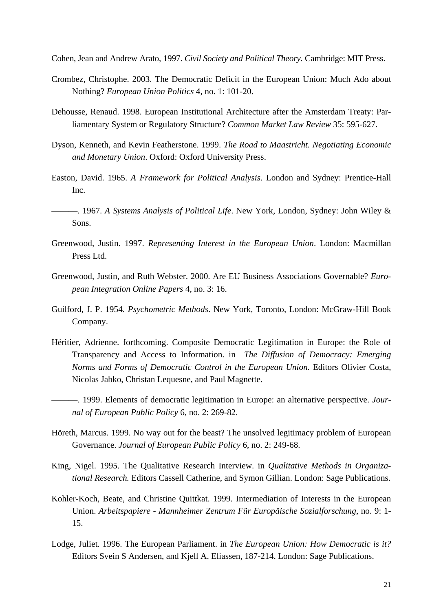Cohen, Jean and Andrew Arato, 1997. *Civil Society and Political Theory.* Cambridge: MIT Press.

- Crombez, Christophe. 2003. The Democratic Deficit in the European Union: Much Ado about Nothing? *European Union Politics* 4, no. 1: 101-20.
- Dehousse, Renaud. 1998. European Institutional Architecture after the Amsterdam Treaty: Parliamentary System or Regulatory Structure? *Common Market Law Review* 35: 595-627.
- Dyson, Kenneth, and Kevin Featherstone. 1999. *The Road to Maastricht. Negotiating Economic and Monetary Union*. Oxford: Oxford University Press.
- Easton, David. 1965. *A Framework for Political Analysis*. London and Sydney: Prentice-Hall Inc.
- ———. 1967. *A Systems Analysis of Political Life*. New York, London, Sydney: John Wiley & Sons.
- Greenwood, Justin. 1997. *Representing Interest in the European Union*. London: Macmillan Press Ltd.
- Greenwood, Justin, and Ruth Webster. 2000. Are EU Business Associations Governable? *European Integration Online Papers* 4, no. 3: 16.
- Guilford, J. P. 1954. *Psychometric Methods*. New York, Toronto, London: McGraw-Hill Book Company.
- Héritier, Adrienne. forthcoming. Composite Democratic Legitimation in Europe: the Role of Transparency and Access to Information. in *The Diffusion of Democracy: Emerging Norms and Forms of Democratic Control in the European Union.* Editors Olivier Costa, Nicolas Jabko, Christan Lequesne, and Paul Magnette.
- ———. 1999. Elements of democratic legitimation in Europe: an alternative perspective. *Journal of European Public Policy* 6, no. 2: 269-82.
- Höreth, Marcus. 1999. No way out for the beast? The unsolved legitimacy problem of European Governance. *Journal of European Public Policy* 6, no. 2: 249-68.
- King, Nigel. 1995. The Qualitative Research Interview. in *Qualitative Methods in Organizational Research.* Editors Cassell Catherine, and Symon Gillian. London: Sage Publications.
- Kohler-Koch, Beate, and Christine Quittkat. 1999. Intermediation of Interests in the European Union. *Arbeitspapiere - Mannheimer Zentrum Für Europäische Sozialforschung*, no. 9: 1- 15.
- Lodge, Juliet. 1996. The European Parliament. in *The European Union: How Democratic is it?* Editors Svein S Andersen, and Kjell A. Eliassen, 187-214. London: Sage Publications.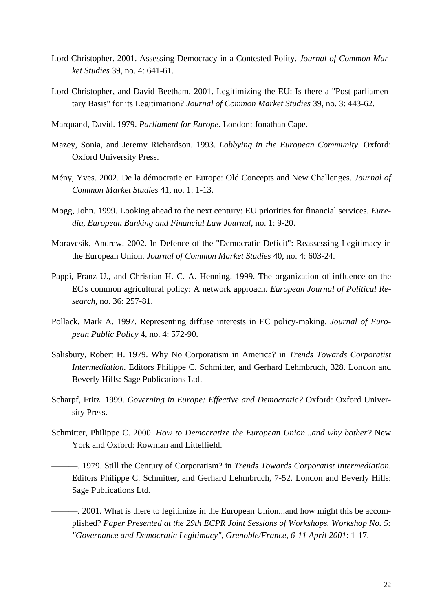- Lord Christopher. 2001. Assessing Democracy in a Contested Polity. *Journal of Common Market Studies* 39, no. 4: 641-61.
- Lord Christopher, and David Beetham. 2001. Legitimizing the EU: Is there a "Post-parliamentary Basis" for its Legitimation? *Journal of Common Market Studies* 39, no. 3: 443-62.
- Marquand, David. 1979. *Parliament for Europe*. London: Jonathan Cape.
- Mazey, Sonia, and Jeremy Richardson. 1993. *Lobbying in the European Community*. Oxford: Oxford University Press.
- Mény, Yves. 2002. De la démocratie en Europe: Old Concepts and New Challenges. *Journal of Common Market Studies* 41, no. 1: 1-13.
- Mogg, John. 1999. Looking ahead to the next century: EU priorities for financial services. *Euredia, European Banking and Financial Law Journal*, no. 1: 9-20.
- Moravcsik, Andrew. 2002. In Defence of the "Democratic Deficit": Reassessing Legitimacy in the European Union. *Journal of Common Market Studies* 40, no. 4: 603-24.
- Pappi, Franz U., and Christian H. C. A. Henning. 1999. The organization of influence on the EC's common agricultural policy: A network approach. *European Journal of Political Research*, no. 36: 257-81.
- Pollack, Mark A. 1997. Representing diffuse interests in EC policy-making. *Journal of European Public Policy* 4, no. 4: 572-90.
- Salisbury, Robert H. 1979. Why No Corporatism in America? in *Trends Towards Corporatist Intermediation.* Editors Philippe C. Schmitter, and Gerhard Lehmbruch, 328. London and Beverly Hills: Sage Publications Ltd.
- Scharpf, Fritz. 1999. *Governing in Europe: Effective and Democratic?* Oxford: Oxford University Press.
- Schmitter, Philippe C. 2000. *How to Democratize the European Union...and why bother?* New York and Oxford: Rowman and Littelfield.
	- ———. 1979. Still the Century of Corporatism? in *Trends Towards Corporatist Intermediation.* Editors Philippe C. Schmitter, and Gerhard Lehmbruch, 7-52. London and Beverly Hills: Sage Publications Ltd.
- ———. 2001. What is there to legitimize in the European Union...and how might this be accomplished? *Paper Presented at the 29th ECPR Joint Sessions of Workshops. Workshop No. 5: "Governance and Democratic Legitimacy", Grenoble/France, 6-11 April 2001*: 1-17.